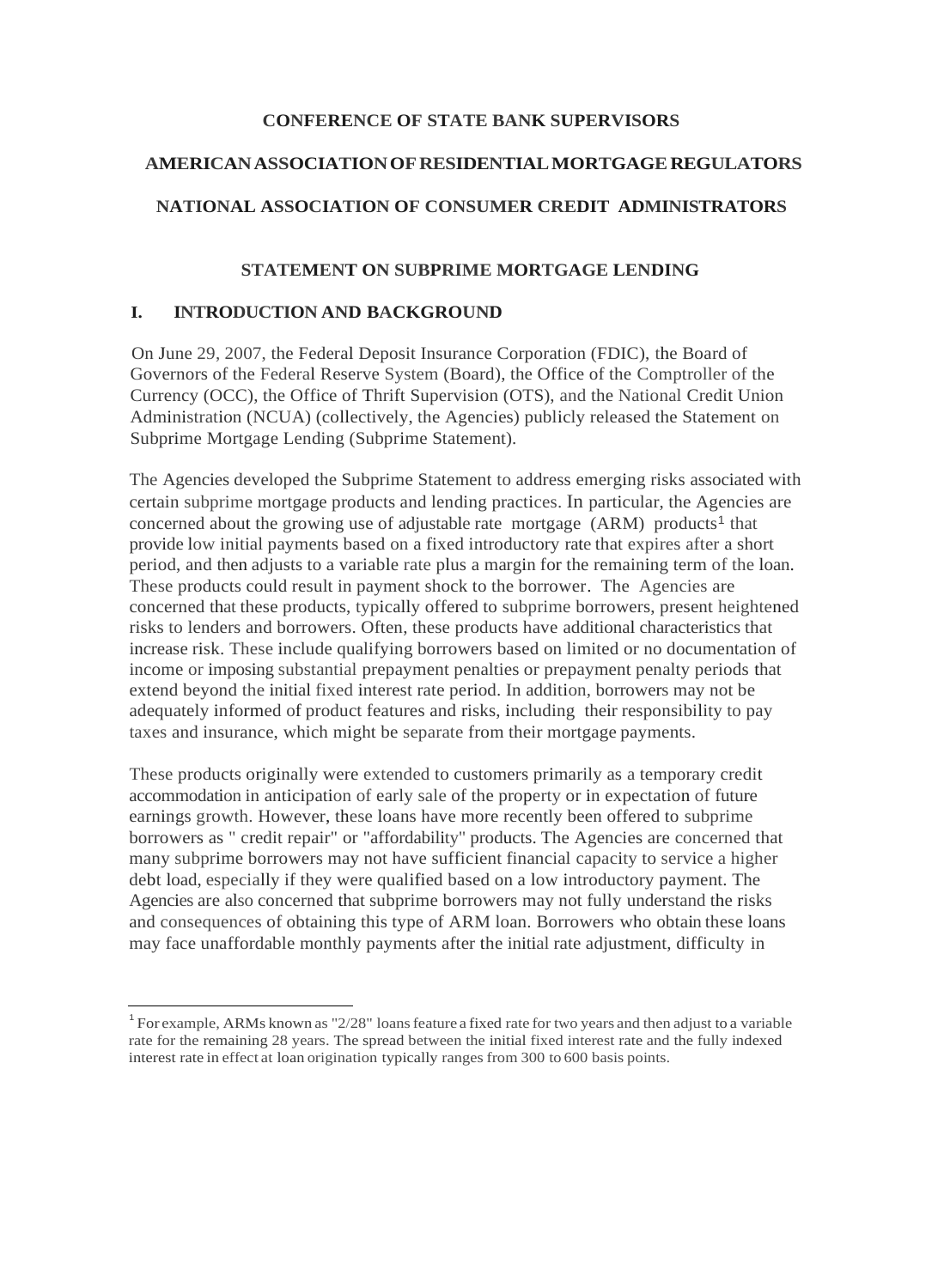# **CONFERENCE OF STATE BANK SUPERVISORS**

# **AMERICANASSOCIATIONOFRESIDENTIALMORTGAGEREGULATORS**

# **NATIONAL ASSOCIATION OF CONSUMER CREDIT ADMINISTRATORS**

# **STATEMENT ON SUBPRIME MORTGAGE LENDING**

# **I. INTRODUCTION AND BACKGROUND**

On June 29, 2007, the Federal Deposit Insurance Corporation (FDIC), the Board of Governors of the Federal Reserve System (Board), the Office of the Comptroller of the Currency (OCC), the Office of Thrift Supervision (OTS), and the National Credit Union Administration (NCUA) (collectively, the Agencies) publicly released the Statement on Subprime Mortgage Lending (Subprime Statement).

The Agencies developed the Subprime Statement to address emerging risks associated with certain subprime mortgage products and lending practices. In particular, the Agencies are concerned about the growing use of adjustable rate mortgage (ARM) products<sup>1</sup> that provide low initial payments based on a fixed introductory rate that expires after a short period, and then adjusts to a variable rate plus a margin for the remaining term of the loan. These products could result in payment shock to the borrower. The Agencies are concerned that these products, typically offered to subprime borrowers, present heightened risks to lenders and borrowers. Often, these products have additional characteristics that increase risk. These include qualifying borrowers based on limited or no documentation of income or imposing substantial prepayment penalties or prepayment penalty periods that extend beyond the initial fixed interest rate period. In addition, borrowers may not be adequately informed of product features and risks, including their responsibility to pay taxes and insurance, which might be separate from their mortgage payments.

These products originally were extended to customers primarily as a temporary credit accommodation in anticipation of early sale of the property or in expectation of future earnings growth. However, these loans have more recently been offered to subprime borrowers as " credit repair" or "affordability" products. The Agencies are concerned that many subprime borrowers may not have sufficient financial capacity to service a higher debt load, especially if they were qualified based on a low introductory payment. The Agencies are also concerned that subprime borrowers may not fully understand the risks and consequences of obtaining this type of ARM loan. Borrowers who obtain these loans may face unaffordable monthly payments after the initial rate adjustment, difficulty in

<sup>&</sup>lt;sup>1</sup> For example, ARMs known as "2/28" loans feature a fixed rate for two years and then adjust to a variable rate for the remaining 28 years. The spread between the initial fixed interest rate and the fully indexed interest rate in effect at loan origination typically ranges from 300 to 600 basis points.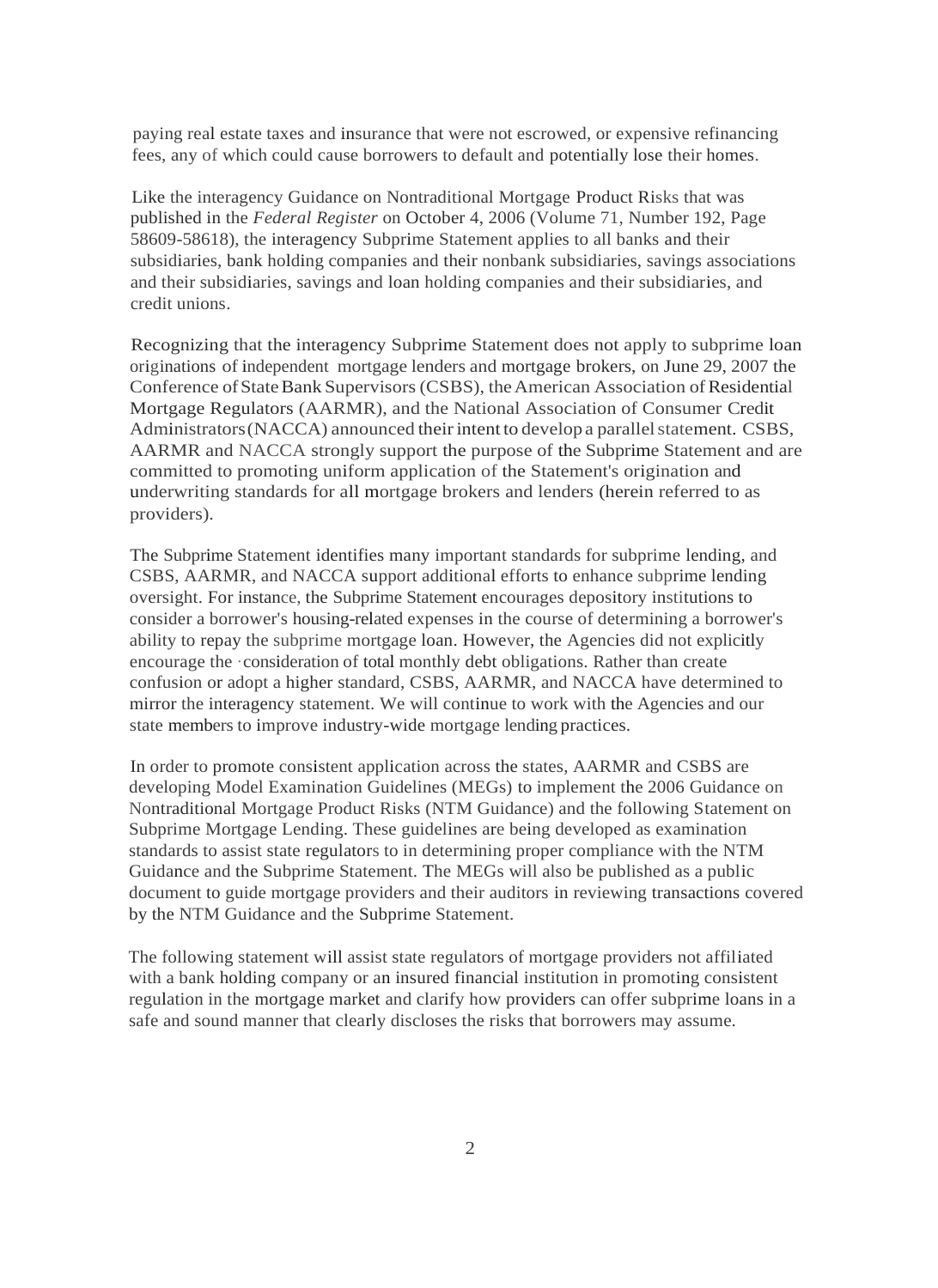paying real estate taxes and insurance that were not escrowed, or expensive refinancing fees, any of which could cause borrowers to default and potentially lose their homes.

Like the interagency Guidance on Nontraditional Mortgage Product Risks that was published in the *Federal Register* on October 4, 2006 (Volume 71, Number 192, Page 58609-58618), the interagency Subprime Statement applies to all banks and their subsidiaries, bank holding companies and their nonbank subsidiaries, savings associations and their subsidiaries, savings and loan holding companies and their subsidiaries, and credit unions.

Recognizing that the interagency Subprime Statement does not apply to subprime loan originations of independent mortgage lenders and mortgage brokers, on June 29, 2007 the Conference of State Bank Supervisors (CSBS), the American Association of Residential Mortgage Regulators (AARMR), and the National Association of Consumer Credit Administrators (NACCA) announced their intent to develop a parallel statement. CSBS, AARMR and NACCA strongly support the purpose of the Subprime Statement and are committed to promoting uniform application of the Statement's origination and underwriting standards for all mortgage brokers and lenders (herein referred to as providers).

The Subprime Statement identifies many important standards for subprime lending, and CSBS, AARMR, and NACCA support additional efforts to enhance subprime lending oversight. For instance, the Subprime Statement encourages depository institutions to consider a borrower's housing-related expenses in the course of determining a borrower's ability to repay the subprime mortgage loan. However, the Agencies did not explicitly encourage the ·consideration of total monthly debt obligations. Rather than create confusion or adopt a higher standard, CSBS, AARMR, and NACCA have determined to mirror the interagency statement. We will continue to work with the Agencies and our state members to improve industry-wide mortgage lending practices.

In order to promote consistent application across the states, AARMR and CSBS are developing Model Examination Guidelines (MEGs) to implement the 2006 Guidance on Nontraditional Mortgage Product Risks (NTM Guidance) and the following Statement on Subprime Mortgage Lending. These guidelines are being developed as examination standards to assist state regulators to in determining proper compliance with the NTM Guidance and the Subprime Statement. The MEGs will also be published as a public document to guide mortgage providers and their auditors in reviewing transactions covered by the NTM Guidance and the Subprime Statement.

The following statement will assist state regulators of mortgage providers not affiliated with a bank holding company or an insured financial institution in promoting consistent regulation in the mortgage market and clarify how providers can offer subprime loans in a safe and sound manner that clearly discloses the risks that borrowers may assume.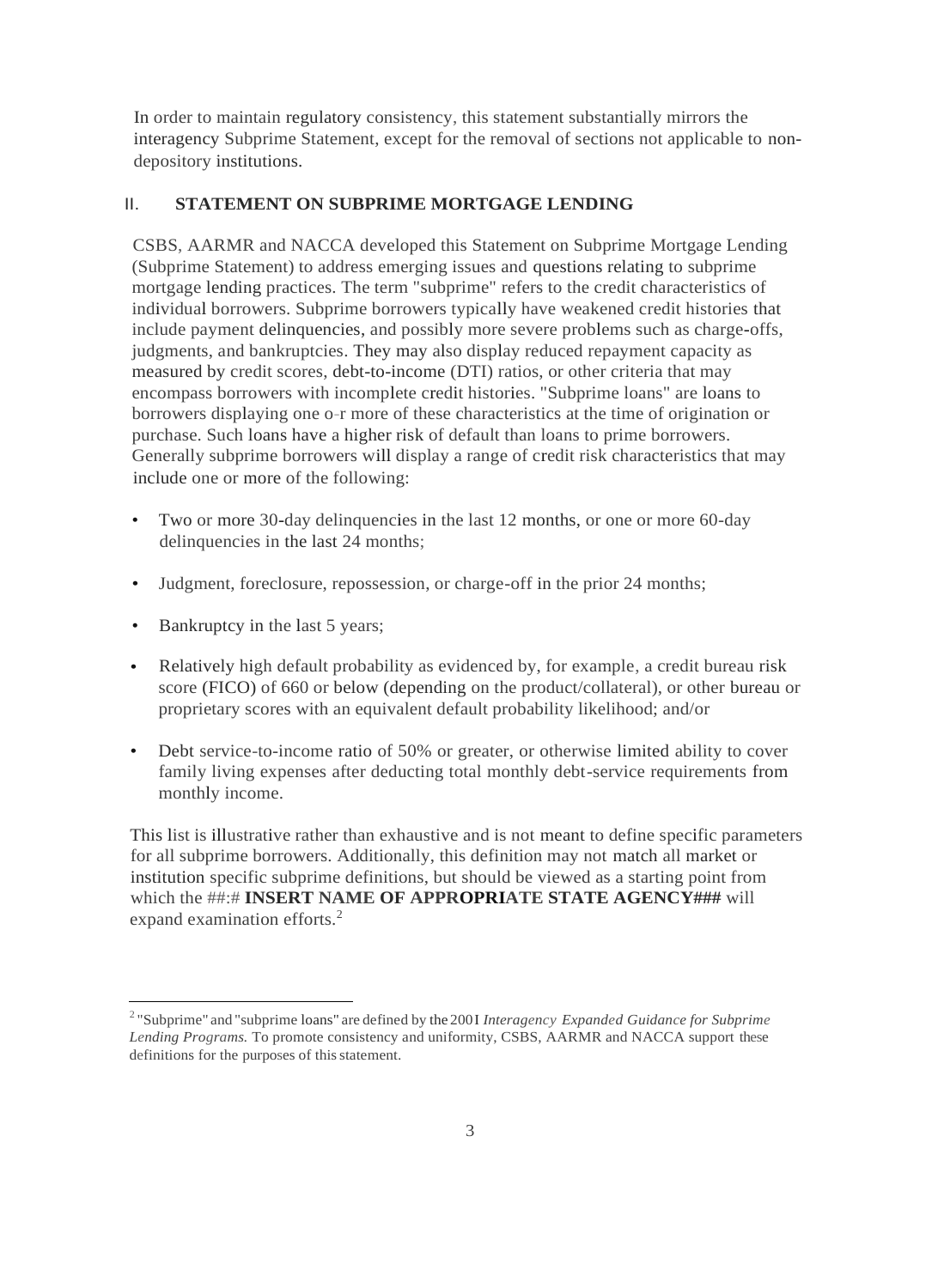In order to maintain regulatory consistency, this statement substantially mirrors the interagency Subprime Statement, except for the removal of sections not applicable to nondepository institutions.

# II. **STATEMENT ON SUBPRIME MORTGAGE LENDING**

CSBS, AARMR and NACCA developed this Statement on Subprime Mortgage Lending (Subprime Statement) to address emerging issues and questions relating to subprime mortgage lending practices. The term "subprime" refers to the credit characteristics of individual borrowers. Subprime borrowers typically have weakened credit histories that include payment delinquencies, and possibly more severe problems such as charge-offs, judgments, and bankruptcies. They may also display reduced repayment capacity as measured by credit scores, debt-to-income (DTI) ratios, or other criteria that may encompass borrowers with incomplete credit histories. "Subprime loans" are loans to borrowers displaying one o-r more of these characteristics at the time of origination or purchase. Such loans have a higher risk of default than loans to prime borrowers. Generally subprime borrowers will display a range of credit risk characteristics that may include one or more of the following:

- Two or more 30-day delinquencies in the last 12 months, or one or more 60-day delinquencies in the last 24 months;
- Judgment, foreclosure, repossession, or charge-off in the prior 24 months;
- Bankruptcy in the last 5 years;
- Relatively high default probability as evidenced by, for example, a credit bureau risk score (FICO) of 660 or below (depending on the product/collateral), or other bureau or proprietary scores with an equivalent default probability likelihood; and/or
- Debt service-to-income ratio of 50% or greater, or otherwise limited ability to cover family living expenses after deducting total monthly debt-service requirements from monthly income.

This list is illustrative rather than exhaustive and is not meant to define specific parameters for all subprime borrowers. Additionally, this definition may not match all market or institution specific subprime definitions, but should be viewed as a starting point from which the ##:# **INSERT NAME OF APPROPRIATE STATE AGENCY###** will expand examination efforts.<sup>2</sup>

<sup>2</sup> "Subprime" and "subprime loans" are defined by the 200I *Interagency Expanded Guidance for Subprime Lending Programs.* To promote consistency and uniformity, CSBS, AARMR and NACCA support these definitions for the purposes of this statement.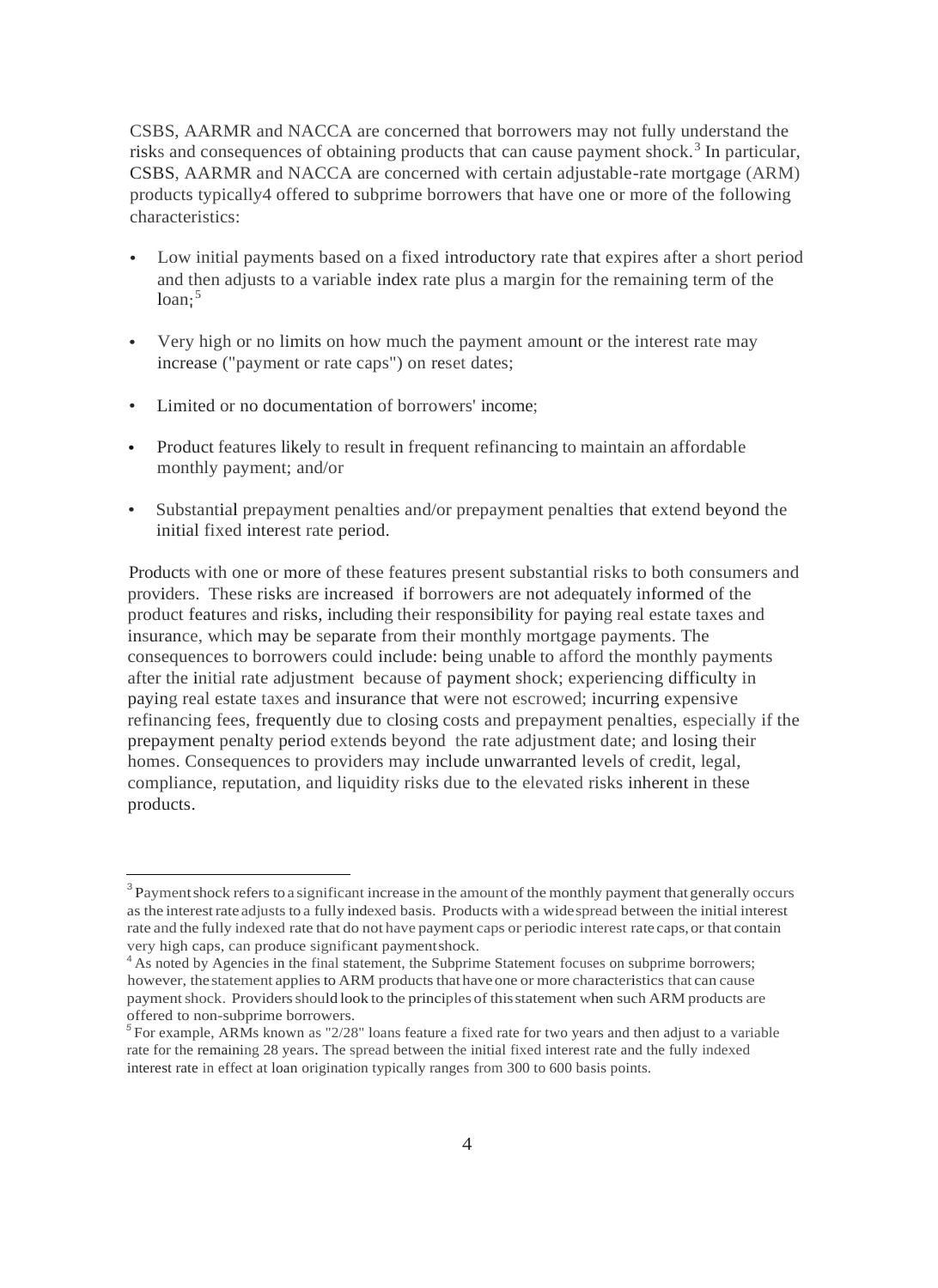CSBS, AARMR and NACCA are concerned that borrowers may not fully understand the risks and consequences of obtaining products that can cause payment shock.<sup>3</sup> In particular, CSBS, AARMR and NACCA are concerned with certain adjustable-rate mortgage (ARM) products typically4 offered to subprime borrowers that have one or more of the following characteristics:

- Low initial payments based on a fixed introductory rate that expires after a short period and then adjusts to a variable index rate plus a margin for the remaining term of the loan<sub>i</sub><sup>5</sup>
- Very high or no limits on how much the payment amount or the interest rate may increase ("payment or rate caps") on reset dates; •
- Limited or no documentation of borrowers' income;
- Product features likely to result in frequent refinancing to maintain an affordable monthly payment; and/or
- Substantial prepayment penalties and/or prepayment penalties that extend beyond the initial fixed interest rate period.

Products with one or more of these features present substantial risks to both consumers and providers. These risks are increased if borrowers are not adequately informed of the product features and risks, including their responsibility for paying real estate taxes and insurance, which may be separate from their monthly mortgage payments. The consequences to borrowers could include: being unable to afford the monthly payments after the initial rate adjustment because of payment shock; experiencing difficulty in paying real estate taxes and insurance that were not escrowed; incurring expensive refinancing fees, frequently due to closing costs and prepayment penalties, especially if the prepayment penalty period extends beyond the rate adjustment date; and losing their homes. Consequences to providers may include unwarranted levels of credit, legal, compliance, reputation, and liquidity risks due to the elevated risks inherent in these products.

<sup>&</sup>lt;sup>3</sup> Payment shock refers to a significant increase in the amount of the monthly payment that generally occurs as the interestrate adjusts to a fully indexed basis. Products with a widespread between the initial interest rate and the fully indexed rate that do not have payment caps or periodic interest rate caps,or that contain very high caps, can produce significant paymentshock.

<sup>&</sup>lt;sup>4</sup> As noted by Agencies in the final statement, the Subprime Statement focuses on subprime borrowers; however, the statement applies to ARM products that have one or more characteristics that can cause paymentshock. Providersshould look to the principles of thisstatement when such ARM products are offered to non-subprime borrowers.

*<sup>5</sup>*For example, ARMs known as "2/28" loans feature a fixed rate for two years and then adjust to a variable rate for the remaining 28 years. The spread between the initial fixed interest rate and the fully indexed interest rate in effect at loan origination typically ranges from 300 to 600 basis points.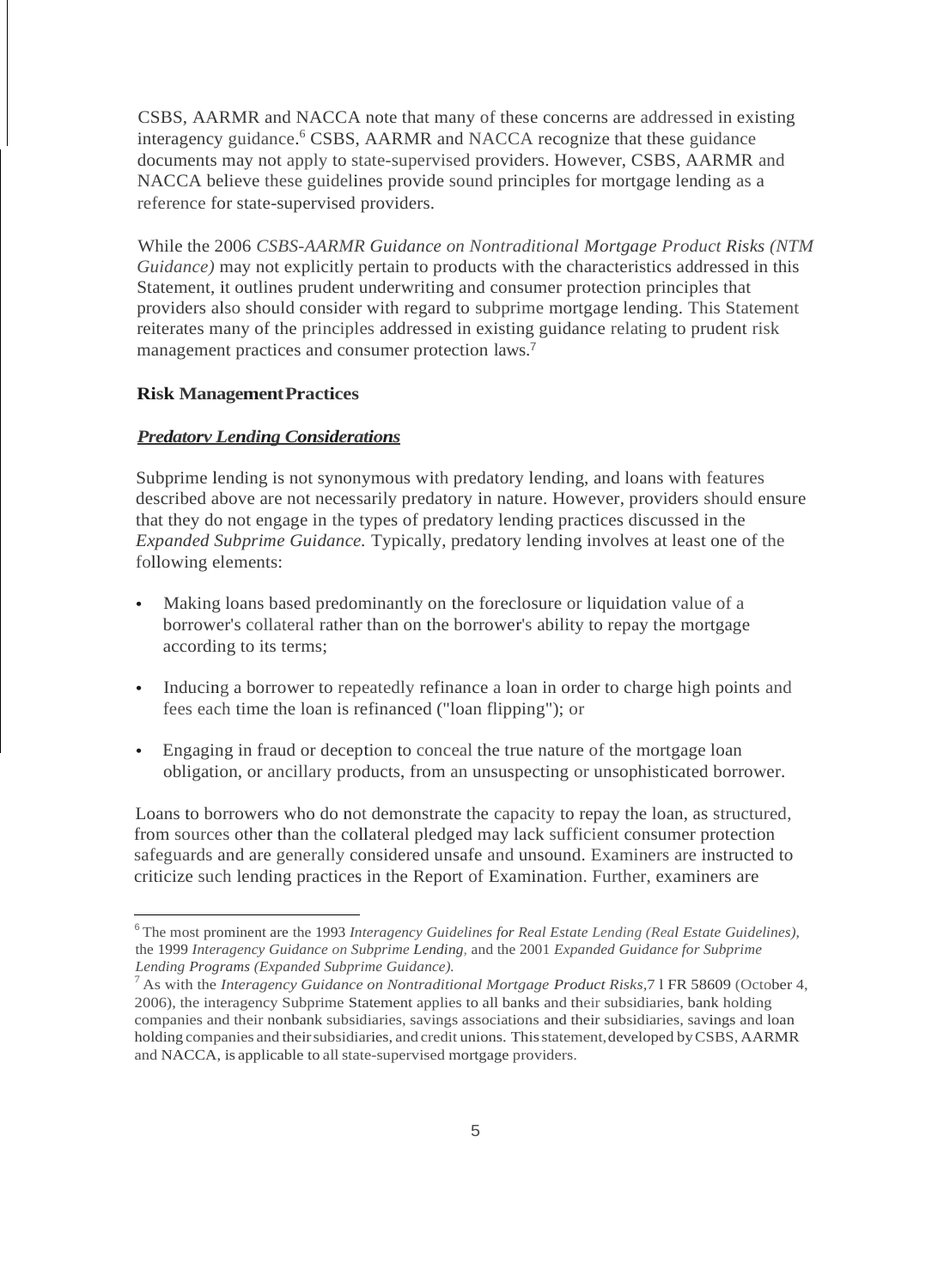CSBS, AARMR and NACCA note that many of these concerns are addressed in existing interagency guidance. <sup>6</sup> CSBS, AARMR and NACCA recognize that these guidance documents may not apply to state-supervised providers. However, CSBS, AARMR and NACCA believe these guidelines provide sound principles for mortgage lending as a reference for state-supervised providers.

While the 2006 *CSBS-AARMR Guidance on Nontraditional Mortgage Product Risks (NTM Guidance)* may not explicitly pertain to products with the characteristics addressed in this Statement, it outlines prudent underwriting and consumer protection principles that providers also should consider with regard to subprime mortgage lending. This Statement reiterates many of the principles addressed in existing guidance relating to prudent risk management practices and consumer protection laws.<sup>7</sup>

## **Risk ManagementPractices**

#### *Predatorv Lending Considerations*

Subprime lending is not synonymous with predatory lending, and loans with features described above are not necessarily predatory in nature. However, providers should ensure that they do not engage in the types of predatory lending practices discussed in the *Expanded Subprime Guidance.* Typically, predatory lending involves at least one of the following elements:

- Making loans based predominantly on the foreclosure or liquidation value of a borrower's collateral rather than on the borrower's ability to repay the mortgage according to its terms;
- Inducing a borrower to repeatedly refinance a loan in order to charge high points and fees each time the loan is refinanced ("loan flipping"); or
- Engaging in fraud or deception to conceal the true nature of the mortgage loan obligation, or ancillary products, from an unsuspecting or unsophisticated borrower.

Loans to borrowers who do not demonstrate the capacity to repay the loan, as structured, from sources other than the collateral pledged may lack sufficient consumer protection safeguards and are generally considered unsafe and unsound. Examiners are instructed to criticize such lending practices in the Report of Examination. Further, examiners are

<sup>6</sup>The most prominent are the 1993 *Interagency Guidelines for Real Estate Lending (Real Estate Guidelines),*  the 1999 *Interagency Guidance on Subprime Lending,* and the 2001 *Expanded Guidance for Subprime Lending Programs (Expanded Subprime Guidance).*

<sup>7</sup>As with the *Interagency Guidance on Nontraditional Mortgage Product Risks,*7 l FR 58609 (October 4, 2006), the interagency Subprime Statement applies to all banks and their subsidiaries, bank holding companies and their nonbank subsidiaries, savings associations and their subsidiaries, savings and loan holding companies and their subsidiaries, and credit unions. This statement, developed by CSBS, AARMR and NACCA, is applicable to all state-supervised mortgage providers.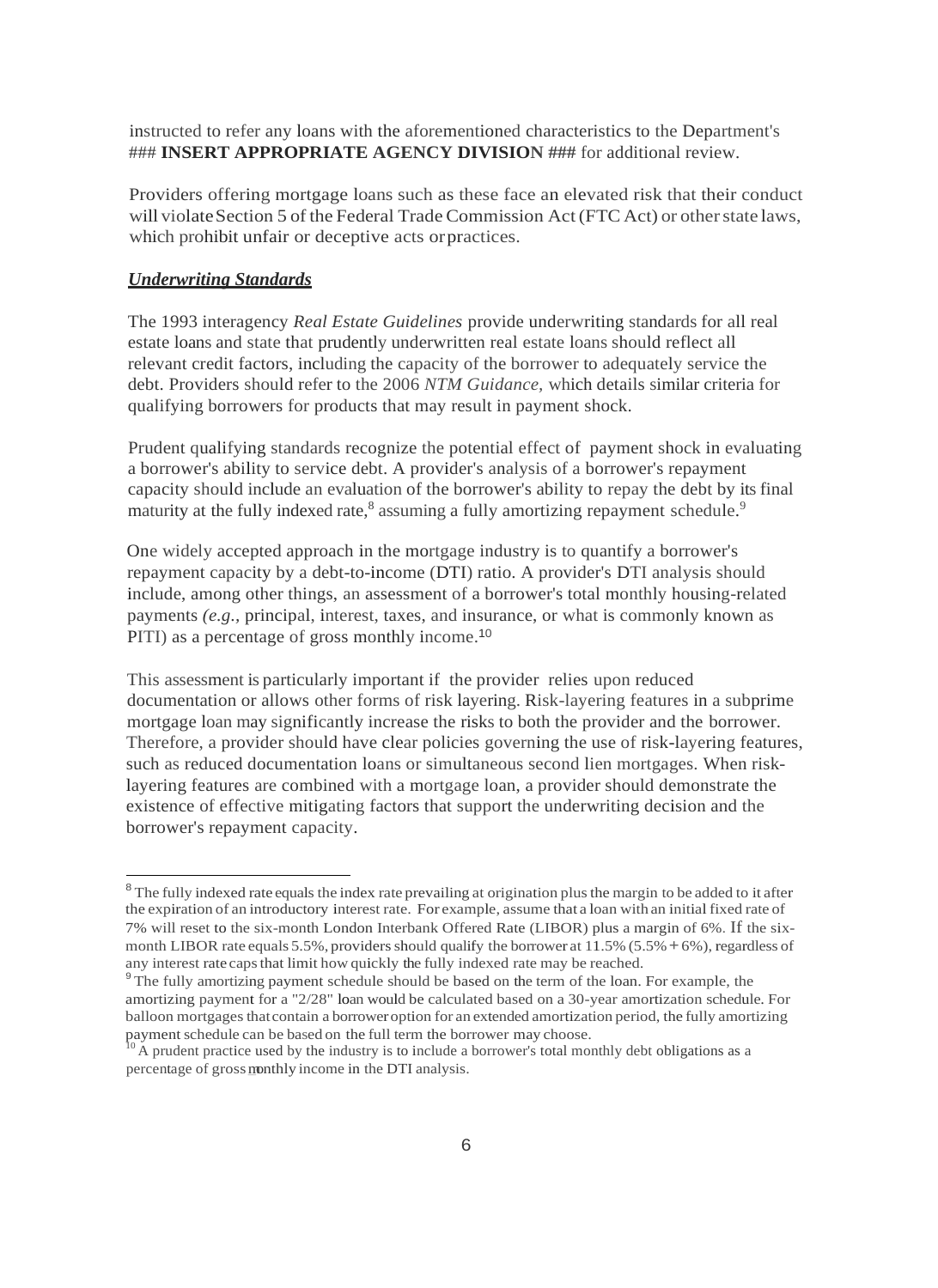instructed to refer any loans with the aforementioned characteristics to the Department's ### **INSERT APPROPRIATE AGENCY DIVISION ###** for additional review.

Providers offering mortgage loans such as these face an elevated risk that their conduct will violate Section 5 of the Federal Trade Commission Act (FTC Act) or other state laws, which prohibit unfair or deceptive acts orpractices.

## *Underwriting Standards*

The 1993 interagency *Real Estate Guidelines* provide underwriting standards for all real estate loans and state that prudently underwritten real estate loans should reflect all relevant credit factors, including the capacity of the borrower to adequately service the debt. Providers should refer to the 2006 *NTM Guidance,* which details similar criteria for qualifying borrowers for products that may result in payment shock.

Prudent qualifying standards recognize the potential effect of payment shock in evaluating a borrower's ability to service debt. A provider's analysis of a borrower's repayment capacity should include an evaluation of the borrower's ability to repay the debt by its final maturity at the fully indexed rate,<sup>8</sup> assuming a fully amortizing repayment schedule.<sup>9</sup>

One widely accepted approach in the mortgage industry is to quantify a borrower's repayment capacity by a debt-to-income (DTI) ratio. A provider's DTI analysis should include, among other things, an assessment of a borrower's total monthly housing-related payments *(e.g.,* principal, interest, taxes, and insurance, or what is commonly known as PITI) as a percentage of gross monthly income.<sup>10</sup>

This assessment is particularly important if the provider relies upon reduced documentation or allows other forms of risk layering. Risk-layering features in a subprime mortgage loan may significantly increase the risks to both the provider and the borrower. Therefore, a provider should have clear policies governing the use of risk-layering features, such as reduced documentation loans or simultaneous second lien mortgages. When risklayering features are combined with a mortgage loan, a provider should demonstrate the existence of effective mitigating factors that support the underwriting decision and the borrower's repayment capacity.

<sup>&</sup>lt;sup>8</sup> The fully indexed rate equals the index rate prevailing at origination plus the margin to be added to it after the expiration of an introductory interest rate. For example, assume that a loan with an initial fixed rate of 7% will reset to the six-month London Interbank Offered Rate (LIBOR) plus a margin of 6%. If the sixmonth LIBOR rate equals 5.5%, providers should qualify the borrower at 11.5% (5.5% + 6%), regardless of any interest rate caps that limit how quickly the fully indexed rate may be reached.

<sup>&</sup>lt;sup>9</sup>The fully amortizing payment schedule should be based on the term of the loan. For example, the amortizing payment for a "2/28" loan would be calculated based on a 30-year amortization schedule. For balloon mortgages thatcontain a borroweroption for an extended amortization period, the fully amortizing payment schedule can be based on the full term the borrower may choose.

 $10<sup>10</sup>$  A prudent practice used by the industry is to include a borrower's total monthly debt obligations as a percentage of gross monthly income in the DTI analysis.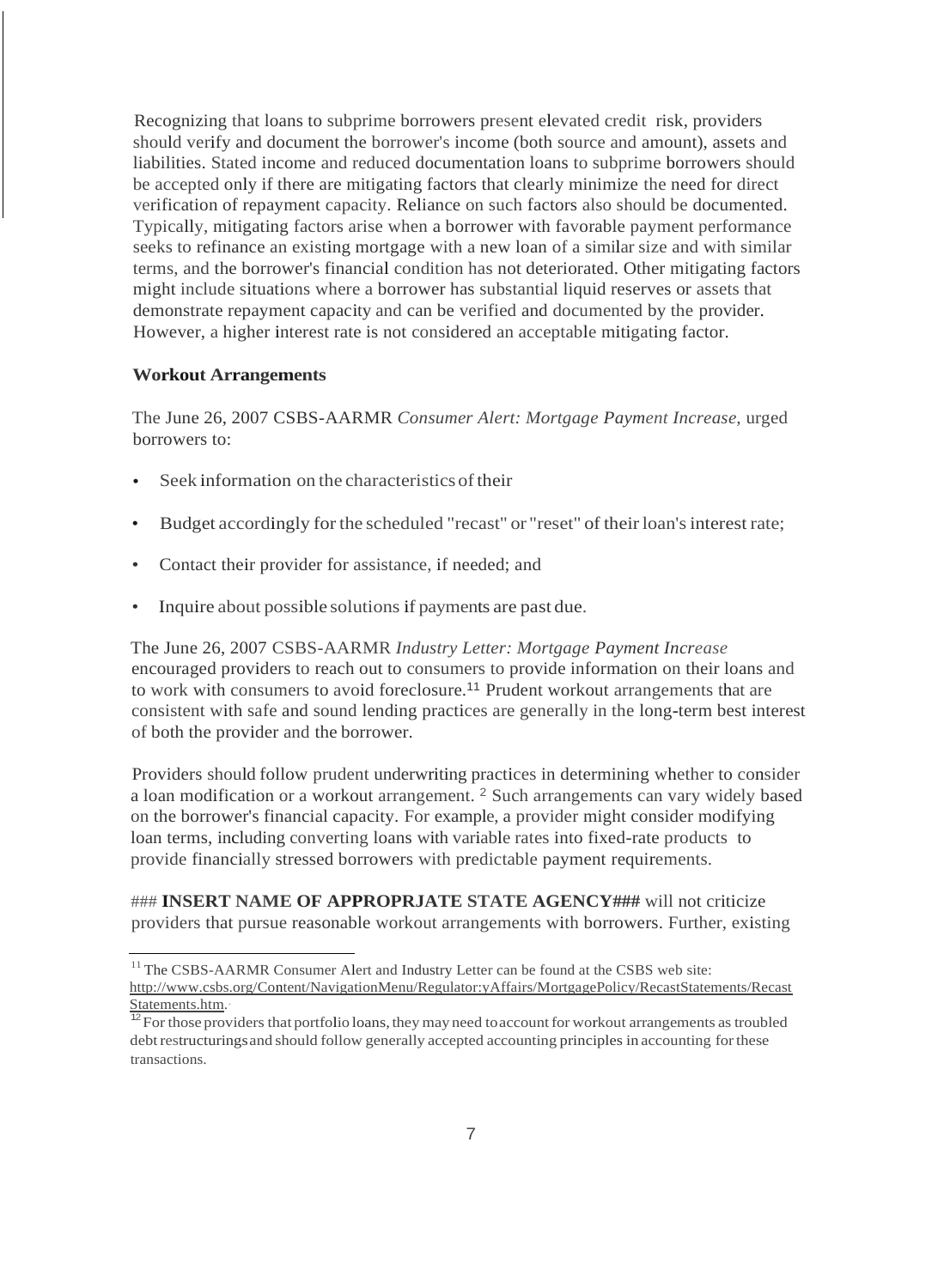Recognizing that loans to subprime borrowers present elevated credit risk, providers should verify and document the borrower's income (both source and amount), assets and liabilities. Stated income and reduced documentation loans to subprime borrowers should be accepted only if there are mitigating factors that clearly minimize the need for direct verification of repayment capacity. Reliance on such factors also should be documented. Typically, mitigating factors arise when a borrower with favorable payment performance seeks to refinance an existing mortgage with a new loan of a similar size and with similar terms, and the borrower's financial condition has not deteriorated. Other mitigating factors might include situations where a borrower has substantial liquid reserves or assets that demonstrate repayment capacity and can be verified and documented by the provider. However, a higher interest rate is not considered an acceptable mitigating factor.

## **Workout Arrangements**

The June 26, 2007 CSBS-AARMR *Consumer Alert: Mortgage Payment Increase,* urged borrowers to:

- Seek information on the characteristics of their
- Budget accordingly for the scheduled "recast" or "reset" of their loan's interest rate;
- Contact their provider for assistance, if needed; and
- Inquire about possible solutions if payments are past due.

The June 26, 2007 CSBS-AARMR *Industry Letter: Mortgage Payment Increase*  encouraged providers to reach out to consumers to provide information on their loans and to work with consumers to avoid foreclosure.<sup>11</sup> Prudent workout arrangements that are consistent with safe and sound lending practices are generally in the long-term best interest of both the provider and the borrower.

Providers should follow prudent underwriting practices in determining whether to consider a loan modification or a workout arrangement. <sup>2</sup> Such arrangements can vary widely based on the borrower's financial capacity. For example, a provider might consider modifying loan terms, including converting loans with variable rates into fixed-rate products to provide financially stressed borrowers with predictable payment requirements.

### **INSERT NAME OF APPROPRJATE STATE AGENCY###** will not criticize providers that pursue reasonable workout arrangements with borrowers. Further, existing

 $11$ <sup>11</sup> The CSBS-AARMR Consumer Alert and Industry Letter can be found at the CSBS web site: http://www.csbs.org/Content/NavigationMenu/Regulator:yAffairs/MortgagePolicy/RecastStatements/Recast

Statements.htm.<br><sup>12</sup> For those providers that portfolio loans, they may need to account for workout arrangements as troubled debtrestructuringsand should follow generally accepted accounting principles in accounting forthese transactions.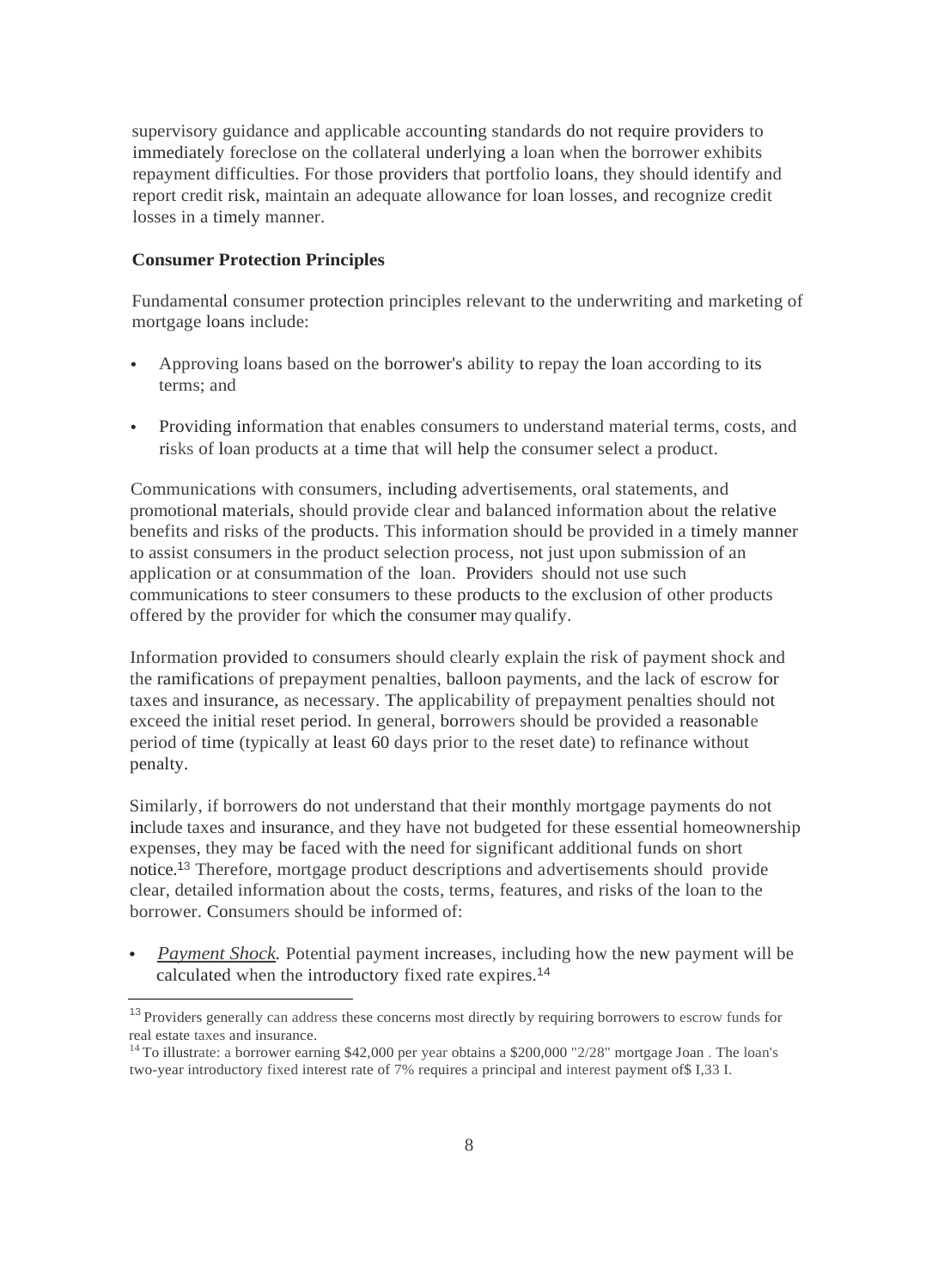supervisory guidance and applicable accounting standards do not require providers to immediately foreclose on the collateral underlying a loan when the borrower exhibits repayment difficulties. For those providers that portfolio loans, they should identify and report credit risk, maintain an adequate allowance for loan losses, and recognize credit losses in a timely manner.

#### **Consumer Protection Principles**

Fundamental consumer protection principles relevant to the underwriting and marketing of mortgage loans include:

- Approving loans based on the borrower's ability to repay the loan according to its terms; and
- Providing information that enables consumers to understand material terms, costs, and risks of loan products at a time that will help the consumer select a product.

Communications with consumers, including advertisements, oral statements, and promotional materials, should provide clear and balanced information about the relative benefits and risks of the products. This information should be provided in a timely manner to assist consumers in the product selection process, not just upon submission of an application or at consummation of the loan. Providers should not use such communications to steer consumers to these products to the exclusion of other products offered by the provider for which the consumer may qualify.

Information provided to consumers should clearly explain the risk of payment shock and the ramifications of prepayment penalties, balloon payments, and the lack of escrow for taxes and insurance, as necessary. The applicability of prepayment penalties should not exceed the initial reset period. In general, borrowers should be provided a reasonable period of time (typically at least 60 days prior to the reset date) to refinance without penalty.

Similarly, if borrowers do not understand that their monthly mortgage payments do not include taxes and insurance, and they have not budgeted for these essential homeownership expenses, they may be faced with the need for significant additional funds on short notice.<sup>13</sup> Therefore, mortgage product descriptions and advertisements should provide clear, detailed information about the costs, terms, features, and risks of the loan to the borrower. Consumers should be informed of:

• *Payment Shock.* Potential payment increases, including how the new payment will be calculated when the introductory fixed rate expires.<sup>14</sup>

<sup>&</sup>lt;sup>13</sup> Providers generally can address these concerns most directly by requiring borrowers to escrow funds for real estate taxes and insurance.

<sup>&</sup>lt;sup>14</sup>To illustrate: a borrower earning \$42,000 per year obtains a \$200,000 "2/28" mortgage Joan . The loan's two-year introductory fixed interest rate of 7% requires a principal and interest payment of\$ I,33 I.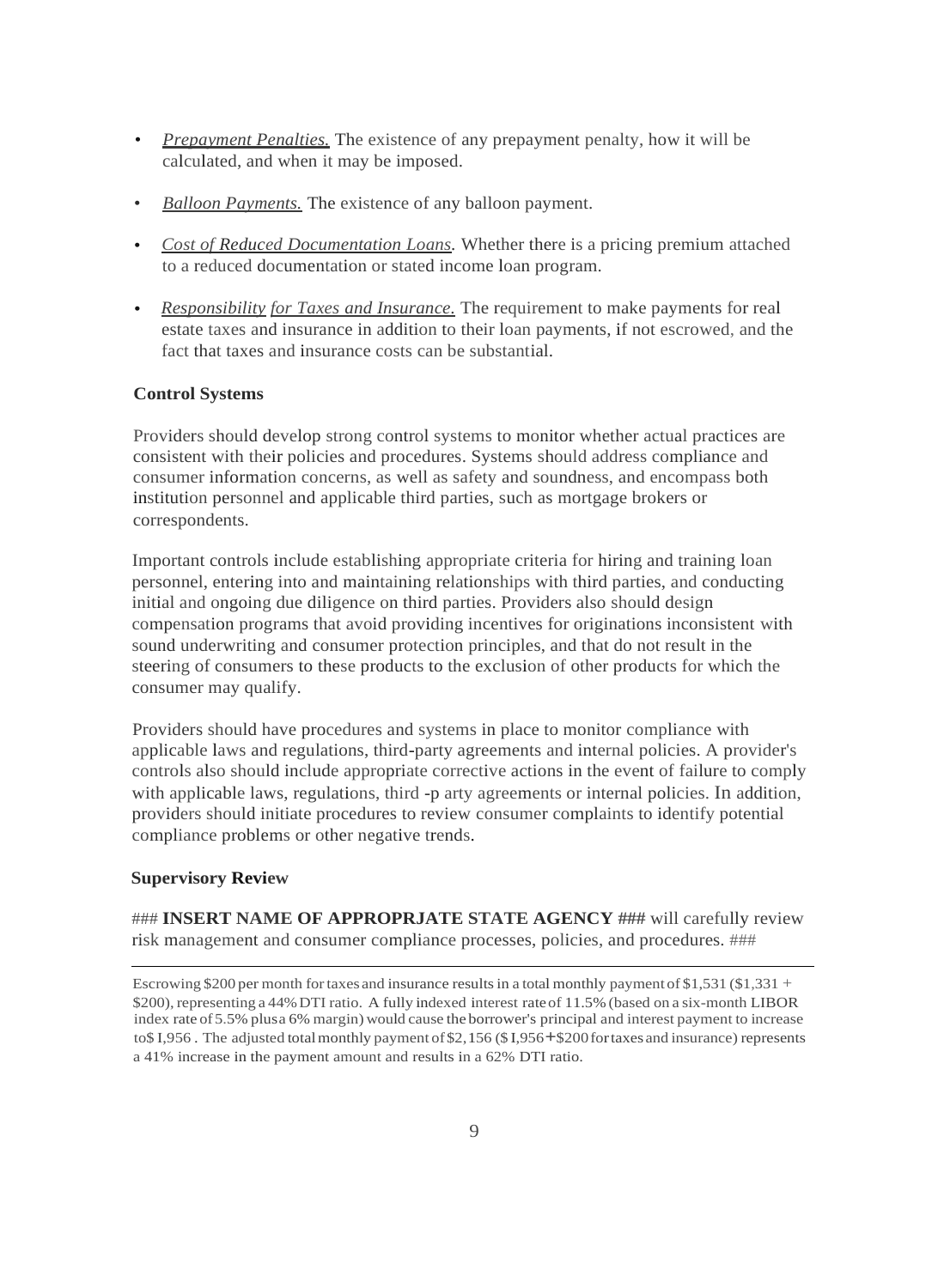- *Prepayment Penalties.* The existence of any prepayment penalty, how it will be calculated, and when it may be imposed.
- *Balloon Payments.* The existence of any balloon payment.
- *Cost of Reduced Documentation Loans.* Whether there is a pricing premium attached to a reduced documentation or stated income loan program.
- *Responsibility for Taxes and Insurance.* The requirement to make payments for real estate taxes and insurance in addition to their loan payments, if not escrowed, and the fact that taxes and insurance costs can be substantial.

## **Control Systems**

Providers should develop strong control systems to monitor whether actual practices are consistent with their policies and procedures. Systems should address compliance and consumer information concerns, as well as safety and soundness, and encompass both institution personnel and applicable third parties, such as mortgage brokers or correspondents.

Important controls include establishing appropriate criteria for hiring and training loan personnel, entering into and maintaining relationships with third parties, and conducting initial and ongoing due diligence on third parties. Providers also should design compensation programs that avoid providing incentives for originations inconsistent with sound underwriting and consumer protection principles, and that do not result in the steering of consumers to these products to the exclusion of other products for which the consumer may qualify.

Providers should have procedures and systems in place to monitor compliance with applicable laws and regulations, third-party agreements and internal policies. A provider's controls also should include appropriate corrective actions in the event of failure to comply with applicable laws, regulations, third -p arty agreements or internal policies. In addition, providers should initiate procedures to review consumer complaints to identify potential compliance problems or other negative trends.

# **Supervisory Review**

### **INSERT NAME OF APPROPRJATE STATE AGENCY ###** will carefully review risk management and consumer compliance processes, policies, and procedures. ###

Escrowing \$200 per month for taxes and insurance results in a total monthly payment of \$1,531 (\$1,331 + \$200), representing a 44% DTI ratio. A fully indexed interest rate of 11.5% (based on a six-month LIBOR index rate of 5.5% plusa 6% margin) would cause the borrower's principal and interest payment to increase to \$1,956. The adjusted total monthly payment of \$2,156 (\$1,956+\$200 for taxes and insurance) represents a 41% increase in the payment amount and results in a 62% DTI ratio.